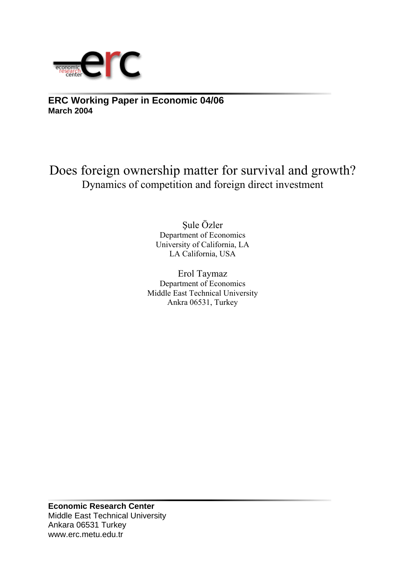

**ERC Working Paper in Economic 04/06 March 2004**

Does foreign ownership matter for survival and growth? Dynamics of competition and foreign direct investment

> Şule Özler Department of Economics University of California, LA LA California, USA

Erol Taymaz Department of Economics Middle East Technical University Ankra 06531, Turkey

**Economic Research Center**  Middle East Technical University Ankara 06531 Turkey www.erc.metu.edu.tr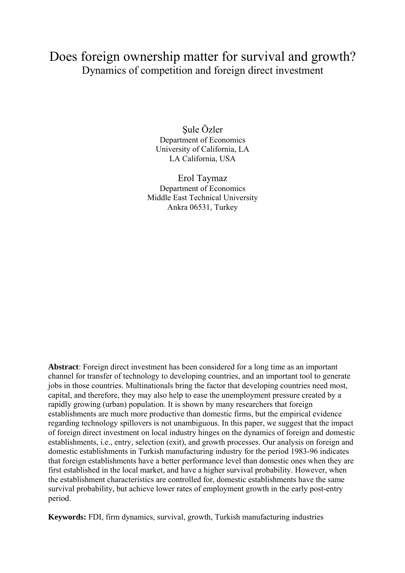# Does foreign ownership matter for survival and growth? Dynamics of competition and foreign direct investment

Şule Özler Department of Economics University of California, LA LA California, USA

Erol Taymaz Department of Economics Middle East Technical University Ankra 06531, Turkey

**Abstract**: Foreign direct investment has been considered for a long time as an important channel for transfer of technology to developing countries, and an important tool to generate jobs in those countries. Multinationals bring the factor that developing countries need most, capital, and therefore, they may also help to ease the unemployment pressure created by a rapidly growing (urban) population. It is shown by many researchers that foreign establishments are much more productive than domestic firms, but the empirical evidence regarding technology spillovers is not unambiguous. In this paper, we suggest that the impact of foreign direct investment on local industry hinges on the dynamics of foreign and domestic establishments, i.e., entry, selection (exit), and growth processes. Our analysis on foreign and domestic establishments in Turkish manufacturing industry for the period 1983-96 indicates that foreign establishments have a better performance level than domestic ones when they are first established in the local market, and have a higher survival probability. However, when the establishment characteristics are controlled for, domestic establishments have the same survival probability, but achieve lower rates of employment growth in the early post-entry period.

**Keywords:** FDI, firm dynamics, survival, growth, Turkish manufacturing industries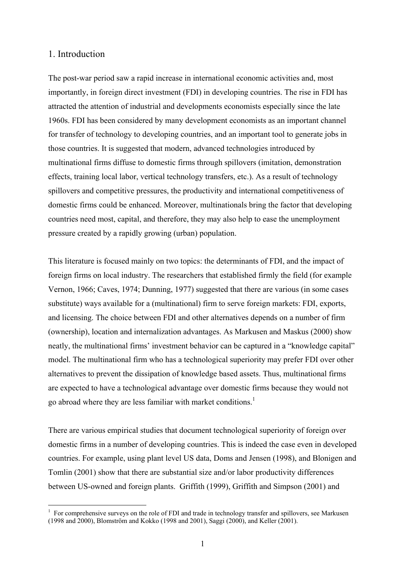#### 1. Introduction

1

The post-war period saw a rapid increase in international economic activities and, most importantly, in foreign direct investment (FDI) in developing countries. The rise in FDI has attracted the attention of industrial and developments economists especially since the late 1960s. FDI has been considered by many development economists as an important channel for transfer of technology to developing countries, and an important tool to generate jobs in those countries. It is suggested that modern, advanced technologies introduced by multinational firms diffuse to domestic firms through spillovers (imitation, demonstration effects, training local labor, vertical technology transfers, etc.). As a result of technology spillovers and competitive pressures, the productivity and international competitiveness of domestic firms could be enhanced. Moreover, multinationals bring the factor that developing countries need most, capital, and therefore, they may also help to ease the unemployment pressure created by a rapidly growing (urban) population.

This literature is focused mainly on two topics: the determinants of FDI, and the impact of foreign firms on local industry. The researchers that established firmly the field (for example Vernon, 1966; Caves, 1974; Dunning, 1977) suggested that there are various (in some cases substitute) ways available for a (multinational) firm to serve foreign markets: FDI, exports, and licensing. The choice between FDI and other alternatives depends on a number of firm (ownership), location and internalization advantages. As Markusen and Maskus (2000) show neatly, the multinational firms' investment behavior can be captured in a "knowledge capital" model. The multinational firm who has a technological superiority may prefer FDI over other alternatives to prevent the dissipation of knowledge based assets. Thus, multinational firms are expected to have a technological advantage over domestic firms because they would not go abroad where they are less familiar with market conditions.<sup>1</sup>

There are various empirical studies that document technological superiority of foreign over domestic firms in a number of developing countries. This is indeed the case even in developed countries. For example, using plant level US data, Doms and Jensen (1998), and Blonigen and Tomlin (2001) show that there are substantial size and/or labor productivity differences between US-owned and foreign plants. Griffith (1999), Griffith and Simpson (2001) and

<sup>1</sup> For comprehensive surveys on the role of FDI and trade in technology transfer and spillovers, see Markusen (1998 and 2000), Blomström and Kokko (1998 and 2001), Saggi (2000), and Keller (2001).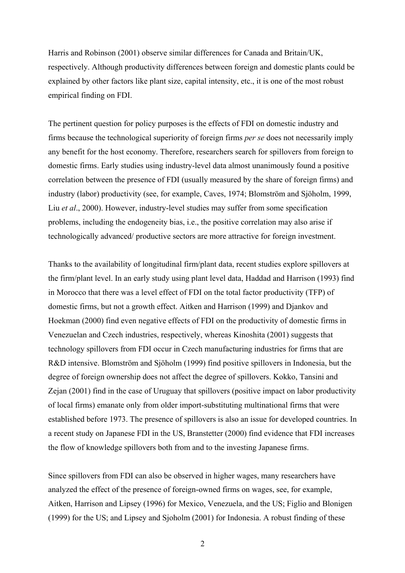Harris and Robinson (2001) observe similar differences for Canada and Britain/UK, respectively. Although productivity differences between foreign and domestic plants could be explained by other factors like plant size, capital intensity, etc., it is one of the most robust empirical finding on FDI.

The pertinent question for policy purposes is the effects of FDI on domestic industry and firms because the technological superiority of foreign firms *per se* does not necessarily imply any benefit for the host economy. Therefore, researchers search for spillovers from foreign to domestic firms. Early studies using industry-level data almost unanimously found a positive correlation between the presence of FDI (usually measured by the share of foreign firms) and industry (labor) productivity (see, for example, Caves, 1974; Blomström and Sjöholm, 1999, Liu *et al*., 2000). However, industry-level studies may suffer from some specification problems, including the endogeneity bias, i.e., the positive correlation may also arise if technologically advanced/ productive sectors are more attractive for foreign investment.

Thanks to the availability of longitudinal firm/plant data, recent studies explore spillovers at the firm/plant level. In an early study using plant level data, Haddad and Harrison (1993) find in Morocco that there was a level effect of FDI on the total factor productivity (TFP) of domestic firms, but not a growth effect. Aitken and Harrison (1999) and Djankov and Hoekman (2000) find even negative effects of FDI on the productivity of domestic firms in Venezuelan and Czech industries, respectively, whereas Kinoshita (2001) suggests that technology spillovers from FDI occur in Czech manufacturing industries for firms that are R&D intensive. Blomström and Sjöholm (1999) find positive spillovers in Indonesia, but the degree of foreign ownership does not affect the degree of spillovers. Kokko, Tansini and Zejan (2001) find in the case of Uruguay that spillovers (positive impact on labor productivity of local firms) emanate only from older import-substituting multinational firms that were established before 1973. The presence of spillovers is also an issue for developed countries. In a recent study on Japanese FDI in the US, Branstetter (2000) find evidence that FDI increases the flow of knowledge spillovers both from and to the investing Japanese firms.

Since spillovers from FDI can also be observed in higher wages, many researchers have analyzed the effect of the presence of foreign-owned firms on wages, see, for example, Aitken, Harrison and Lipsey (1996) for Mexico, Venezuela, and the US; Figlio and Blonigen (1999) for the US; and Lipsey and Sjoholm (2001) for Indonesia. A robust finding of these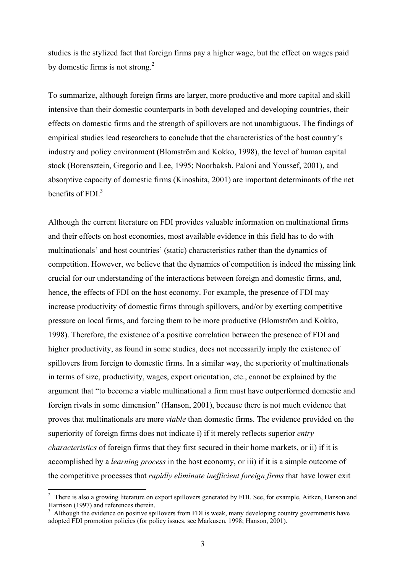studies is the stylized fact that foreign firms pay a higher wage, but the effect on wages paid by domestic firms is not strong. $^{2}$ 

To summarize, although foreign firms are larger, more productive and more capital and skill intensive than their domestic counterparts in both developed and developing countries, their effects on domestic firms and the strength of spillovers are not unambiguous. The findings of empirical studies lead researchers to conclude that the characteristics of the host country's industry and policy environment (Blomström and Kokko, 1998), the level of human capital stock (Borensztein, Gregorio and Lee, 1995; Noorbaksh, Paloni and Youssef, 2001), and absorptive capacity of domestic firms (Kinoshita, 2001) are important determinants of the net benefits of FDI $<sup>3</sup>$ </sup>

Although the current literature on FDI provides valuable information on multinational firms and their effects on host economies, most available evidence in this field has to do with multinationals' and host countries' (static) characteristics rather than the dynamics of competition. However, we believe that the dynamics of competition is indeed the missing link crucial for our understanding of the interactions between foreign and domestic firms, and, hence, the effects of FDI on the host economy. For example, the presence of FDI may increase productivity of domestic firms through spillovers, and/or by exerting competitive pressure on local firms, and forcing them to be more productive (Blomström and Kokko, 1998). Therefore, the existence of a positive correlation between the presence of FDI and higher productivity, as found in some studies, does not necessarily imply the existence of spillovers from foreign to domestic firms. In a similar way, the superiority of multinationals in terms of size, productivity, wages, export orientation, etc., cannot be explained by the argument that "to become a viable multinational a firm must have outperformed domestic and foreign rivals in some dimension" (Hanson, 2001), because there is not much evidence that proves that multinationals are more *viable* than domestic firms. The evidence provided on the superiority of foreign firms does not indicate i) if it merely reflects superior *entry characteristics* of foreign firms that they first secured in their home markets, or ii) if it is accomplished by a *learning process* in the host economy, or iii) if it is a simple outcome of the competitive processes that *rapidly eliminate inefficient foreign firms* that have lower exit

<sup>&</sup>lt;sup>2</sup> There is also a growing literature on export spillovers generated by FDI. See, for example, Aitken, Hanson and Harrison (1997) and references therein.

<sup>3</sup> Although the evidence on positive spillovers from FDI is weak, many developing country governments have adopted FDI promotion policies (for policy issues, see Markusen, 1998; Hanson, 2001).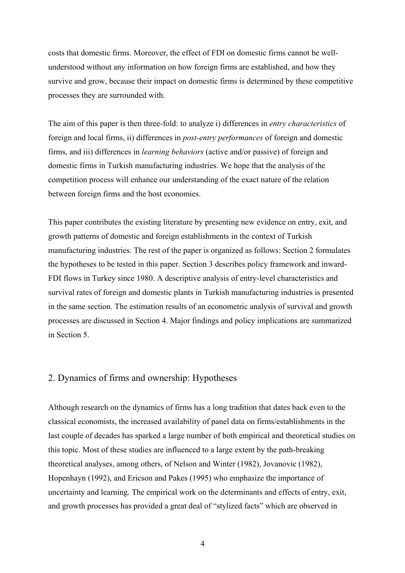costs that domestic firms. Moreover, the effect of FDI on domestic firms cannot be wellunderstood without any information on how foreign firms are established, and how they survive and grow, because their impact on domestic firms is determined by these competitive processes they are surrounded with.

The aim of this paper is then three-fold: to analyze i) differences in *entry characteristics* of foreign and local firms, ii) differences in *post-entry performances* of foreign and domestic firms, and iii) differences in *learning behaviors* (active and/or passive) of foreign and domestic firms in Turkish manufacturing industries. We hope that the analysis of the competition process will enhance our understanding of the exact nature of the relation between foreign firms and the host economies.

This paper contributes the existing literature by presenting new evidence on entry, exit, and growth patterns of domestic and foreign establishments in the context of Turkish manufacturing industries. The rest of the paper is organized as follows: Section 2 formulates the hypotheses to be tested in this paper. Section 3 describes policy framework and inward-FDI flows in Turkey since 1980. A descriptive analysis of entry-level characteristics and survival rates of foreign and domestic plants in Turkish manufacturing industries is presented in the same section. The estimation results of an econometric analysis of survival and growth processes are discussed in Section 4. Major findings and policy implications are summarized in Section 5.

#### 2. Dynamics of firms and ownership: Hypotheses

Although research on the dynamics of firms has a long tradition that dates back even to the classical economists, the increased availability of panel data on firms/establishments in the last couple of decades has sparked a large number of both empirical and theoretical studies on this topic. Most of these studies are influenced to a large extent by the path-breaking theoretical analyses, among others, of Nelson and Winter (1982), Jovanovic (1982), Hopenhayn (1992), and Ericson and Pakes (1995) who emphasize the importance of uncertainty and learning. The empirical work on the determinants and effects of entry, exit, and growth processes has provided a great deal of "stylized facts" which are observed in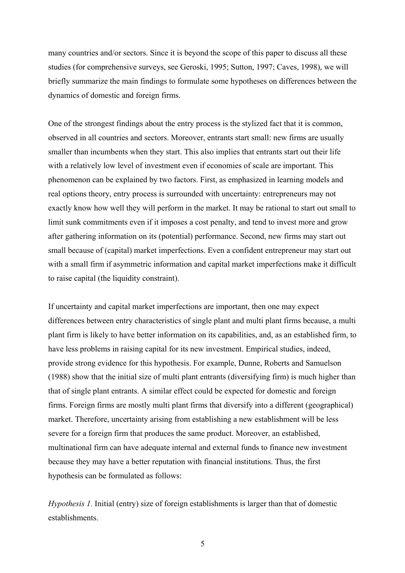many countries and/or sectors. Since it is beyond the scope of this paper to discuss all these studies (for comprehensive surveys, see Geroski, 1995; Sutton, 1997; Caves, 1998), we will briefly summarize the main findings to formulate some hypotheses on differences between the dynamics of domestic and foreign firms.

One of the strongest findings about the entry process is the stylized fact that it is common, observed in all countries and sectors. Moreover, entrants start small: new firms are usually smaller than incumbents when they start. This also implies that entrants start out their life with a relatively low level of investment even if economies of scale are important. This phenomenon can be explained by two factors. First, as emphasized in learning models and real options theory, entry process is surrounded with uncertainty: entrepreneurs may not exactly know how well they will perform in the market. It may be rational to start out small to limit sunk commitments even if it imposes a cost penalty, and tend to invest more and grow after gathering information on its (potential) performance. Second, new firms may start out small because of (capital) market imperfections. Even a confident entrepreneur may start out with a small firm if asymmetric information and capital market imperfections make it difficult to raise capital (the liquidity constraint).

If uncertainty and capital market imperfections are important, then one may expect differences between entry characteristics of single plant and multi plant firms because, a multi plant firm is likely to have better information on its capabilities, and, as an established firm, to have less problems in raising capital for its new investment. Empirical studies, indeed, provide strong evidence for this hypothesis. For example, Dunne, Roberts and Samuelson (1988) show that the initial size of multi plant entrants (diversifying firm) is much higher than that of single plant entrants. A similar effect could be expected for domestic and foreign firms. Foreign firms are mostly multi plant firms that diversify into a different (geographical) market. Therefore, uncertainty arising from establishing a new establishment will be less severe for a foreign firm that produces the same product. Moreover, an established, multinational firm can have adequate internal and external funds to finance new investment because they may have a better reputation with financial institutions. Thus, the first hypothesis can be formulated as follows:

*Hypothesis 1.* Initial (entry) size of foreign establishments is larger than that of domestic establishments.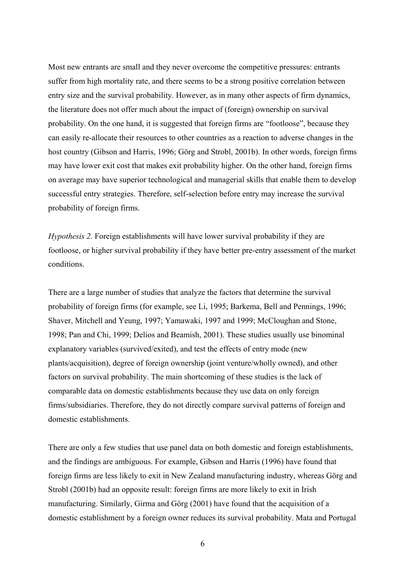Most new entrants are small and they never overcome the competitive pressures: entrants suffer from high mortality rate, and there seems to be a strong positive correlation between entry size and the survival probability. However, as in many other aspects of firm dynamics, the literature does not offer much about the impact of (foreign) ownership on survival probability. On the one hand, it is suggested that foreign firms are "footloose", because they can easily re-allocate their resources to other countries as a reaction to adverse changes in the host country (Gibson and Harris, 1996; Görg and Strobl, 2001b). In other words, foreign firms may have lower exit cost that makes exit probability higher. On the other hand, foreign firms on average may have superior technological and managerial skills that enable them to develop successful entry strategies. Therefore, self-selection before entry may increase the survival probability of foreign firms.

*Hypothesis 2.* Foreign establishments will have lower survival probability if they are footloose, or higher survival probability if they have better pre-entry assessment of the market conditions.

There are a large number of studies that analyze the factors that determine the survival probability of foreign firms (for example, see Li, 1995; Barkema, Bell and Pennings, 1996; Shaver, Mitchell and Yeung, 1997; Yamawaki, 1997 and 1999; McCloughan and Stone, 1998; Pan and Chi, 1999; Delios and Beamish, 2001). These studies usually use binominal explanatory variables (survived/exited), and test the effects of entry mode (new plants/acquisition), degree of foreign ownership (joint venture/wholly owned), and other factors on survival probability. The main shortcoming of these studies is the lack of comparable data on domestic establishments because they use data on only foreign firms/subsidiaries. Therefore, they do not directly compare survival patterns of foreign and domestic establishments.

There are only a few studies that use panel data on both domestic and foreign establishments, and the findings are ambiguous. For example, Gibson and Harris (1996) have found that foreign firms are less likely to exit in New Zealand manufacturing industry, whereas Görg and Strobl (2001b) had an opposite result: foreign firms are more likely to exit in Irish manufacturing. Similarly, Girma and Görg (2001) have found that the acquisition of a domestic establishment by a foreign owner reduces its survival probability. Mata and Portugal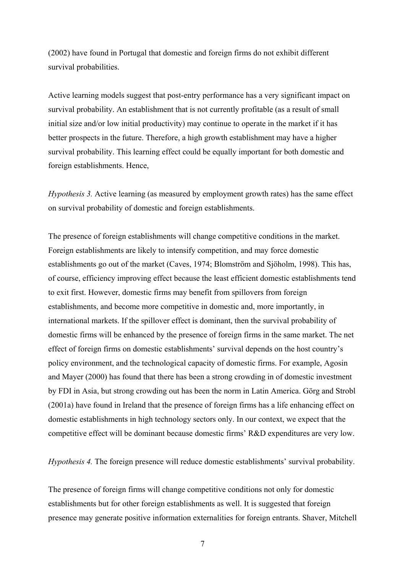(2002) have found in Portugal that domestic and foreign firms do not exhibit different survival probabilities.

Active learning models suggest that post-entry performance has a very significant impact on survival probability. An establishment that is not currently profitable (as a result of small initial size and/or low initial productivity) may continue to operate in the market if it has better prospects in the future. Therefore, a high growth establishment may have a higher survival probability. This learning effect could be equally important for both domestic and foreign establishments. Hence,

*Hypothesis 3.* Active learning (as measured by employment growth rates) has the same effect on survival probability of domestic and foreign establishments.

The presence of foreign establishments will change competitive conditions in the market. Foreign establishments are likely to intensify competition, and may force domestic establishments go out of the market (Caves, 1974; Blomström and Sjöholm, 1998). This has, of course, efficiency improving effect because the least efficient domestic establishments tend to exit first. However, domestic firms may benefit from spillovers from foreign establishments, and become more competitive in domestic and, more importantly, in international markets. If the spillover effect is dominant, then the survival probability of domestic firms will be enhanced by the presence of foreign firms in the same market. The net effect of foreign firms on domestic establishments' survival depends on the host country's policy environment, and the technological capacity of domestic firms. For example, Agosin and Mayer (2000) has found that there has been a strong crowding in of domestic investment by FDI in Asia, but strong crowding out has been the norm in Latin America. Görg and Strobl (2001a) have found in Ireland that the presence of foreign firms has a life enhancing effect on domestic establishments in high technology sectors only. In our context, we expect that the competitive effect will be dominant because domestic firms' R&D expenditures are very low.

*Hypothesis 4.* The foreign presence will reduce domestic establishments' survival probability.

The presence of foreign firms will change competitive conditions not only for domestic establishments but for other foreign establishments as well. It is suggested that foreign presence may generate positive information externalities for foreign entrants. Shaver, Mitchell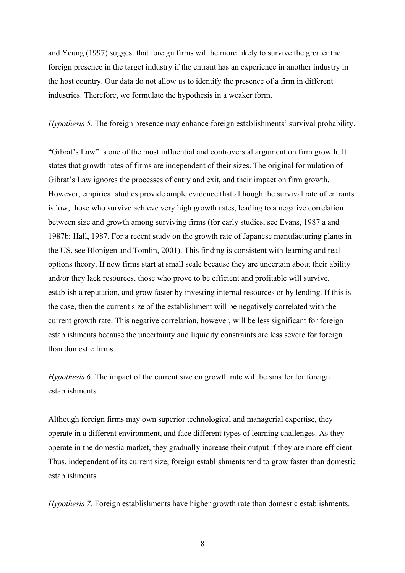and Yeung (1997) suggest that foreign firms will be more likely to survive the greater the foreign presence in the target industry if the entrant has an experience in another industry in the host country. Our data do not allow us to identify the presence of a firm in different industries. Therefore, we formulate the hypothesis in a weaker form.

*Hypothesis 5.* The foreign presence may enhance foreign establishments' survival probability.

"Gibrat's Law" is one of the most influential and controversial argument on firm growth. It states that growth rates of firms are independent of their sizes. The original formulation of Gibrat's Law ignores the processes of entry and exit, and their impact on firm growth. However, empirical studies provide ample evidence that although the survival rate of entrants is low, those who survive achieve very high growth rates, leading to a negative correlation between size and growth among surviving firms (for early studies, see Evans, 1987 a and 1987b; Hall, 1987. For a recent study on the growth rate of Japanese manufacturing plants in the US, see Blonigen and Tomlin, 2001). This finding is consistent with learning and real options theory. If new firms start at small scale because they are uncertain about their ability and/or they lack resources, those who prove to be efficient and profitable will survive, establish a reputation, and grow faster by investing internal resources or by lending. If this is the case, then the current size of the establishment will be negatively correlated with the current growth rate. This negative correlation, however, will be less significant for foreign establishments because the uncertainty and liquidity constraints are less severe for foreign than domestic firms.

*Hypothesis 6.* The impact of the current size on growth rate will be smaller for foreign establishments.

Although foreign firms may own superior technological and managerial expertise, they operate in a different environment, and face different types of learning challenges. As they operate in the domestic market, they gradually increase their output if they are more efficient. Thus, independent of its current size, foreign establishments tend to grow faster than domestic establishments.

*Hypothesis 7.* Foreign establishments have higher growth rate than domestic establishments.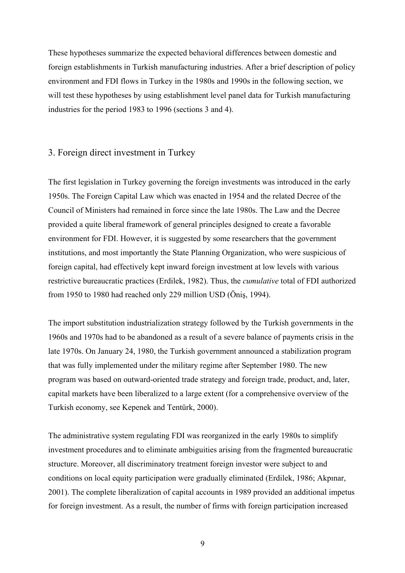These hypotheses summarize the expected behavioral differences between domestic and foreign establishments in Turkish manufacturing industries. After a brief description of policy environment and FDI flows in Turkey in the 1980s and 1990s in the following section, we will test these hypotheses by using establishment level panel data for Turkish manufacturing industries for the period 1983 to 1996 (sections 3 and 4).

#### 3. Foreign direct investment in Turkey

The first legislation in Turkey governing the foreign investments was introduced in the early 1950s. The Foreign Capital Law which was enacted in 1954 and the related Decree of the Council of Ministers had remained in force since the late 1980s. The Law and the Decree provided a quite liberal framework of general principles designed to create a favorable environment for FDI. However, it is suggested by some researchers that the government institutions, and most importantly the State Planning Organization, who were suspicious of foreign capital, had effectively kept inward foreign investment at low levels with various restrictive bureaucratic practices (Erdilek, 1982). Thus, the *cumulative* total of FDI authorized from 1950 to 1980 had reached only 229 million USD (Öniş, 1994).

The import substitution industrialization strategy followed by the Turkish governments in the 1960s and 1970s had to be abandoned as a result of a severe balance of payments crisis in the late 1970s. On January 24, 1980, the Turkish government announced a stabilization program that was fully implemented under the military regime after September 1980. The new program was based on outward-oriented trade strategy and foreign trade, product, and, later, capital markets have been liberalized to a large extent (for a comprehensive overview of the Turkish economy, see Kepenek and Tentürk, 2000).

The administrative system regulating FDI was reorganized in the early 1980s to simplify investment procedures and to eliminate ambiguities arising from the fragmented bureaucratic structure. Moreover, all discriminatory treatment foreign investor were subject to and conditions on local equity participation were gradually eliminated (Erdilek, 1986; Akpınar, 2001). The complete liberalization of capital accounts in 1989 provided an additional impetus for foreign investment. As a result, the number of firms with foreign participation increased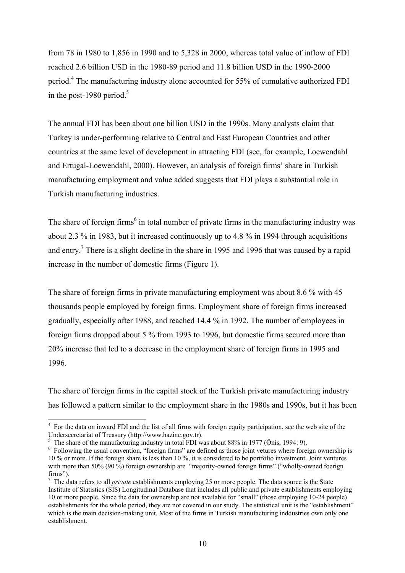from 78 in 1980 to 1,856 in 1990 and to 5,328 in 2000, whereas total value of inflow of FDI reached 2.6 billion USD in the 1980-89 period and 11.8 billion USD in the 1990-2000 period.<sup>4</sup> The manufacturing industry alone accounted for 55% of cumulative authorized FDI in the post-1980 period. $5$ 

The annual FDI has been about one billion USD in the 1990s. Many analysts claim that Turkey is under-performing relative to Central and East European Countries and other countries at the same level of development in attracting FDI (see, for example, Loewendahl and Ertugal-Loewendahl, 2000). However, an analysis of foreign firms' share in Turkish manufacturing employment and value added suggests that FDI plays a substantial role in Turkish manufacturing industries.

The share of foreign firms<sup>6</sup> in total number of private firms in the manufacturing industry was about 2.3 % in 1983, but it increased continuously up to 4.8 % in 1994 through acquisitions and entry.<sup>7</sup> There is a slight decline in the share in 1995 and 1996 that was caused by a rapid increase in the number of domestic firms (Figure 1).

The share of foreign firms in private manufacturing employment was about 8.6 % with 45 thousands people employed by foreign firms. Employment share of foreign firms increased gradually, especially after 1988, and reached 14.4 % in 1992. The number of employees in foreign firms dropped about 5 % from 1993 to 1996, but domestic firms secured more than 20% increase that led to a decrease in the employment share of foreign firms in 1995 and 1996.

The share of foreign firms in the capital stock of the Turkish private manufacturing industry has followed a pattern similar to the employment share in the 1980s and 1990s, but it has been

<sup>&</sup>lt;sup>4</sup> For the data on inward FDI and the list of all firms with foreign equity participation, see the web site of the Undersecretariat of Treasury (http://www.hazine.gov.tr).

<sup>5</sup> The share of the manufacturing industry in total FDI was about 88% in 1977 (Önis, 1994: 9).

<sup>&</sup>lt;sup>6</sup> Following the usual convention, "foreign firms" are defined as those joint vetures where foreign ownership is 10 % or more. If the foreign share is less than 10 %, it is considered to be portfolio investment. Joint ventures with more than 50% (90 %) foreign ownership are "majority-owned foreign firms" ("wholly-owned foerign firms").

<sup>7</sup> The data refers to all *private* establishments employing 25 or more people. The data source is the State Institute of Statistics (SIS) Longitudinal Database that includes all public and private establishments employing 10 or more people. Since the data for ownership are not available for "small" (those employing 10-24 people) establishments for the whole period, they are not covered in our study. The statistical unit is the "establishment" which is the main decision-making unit. Most of the firms in Turkish manufacturing inddustries own only one establishment.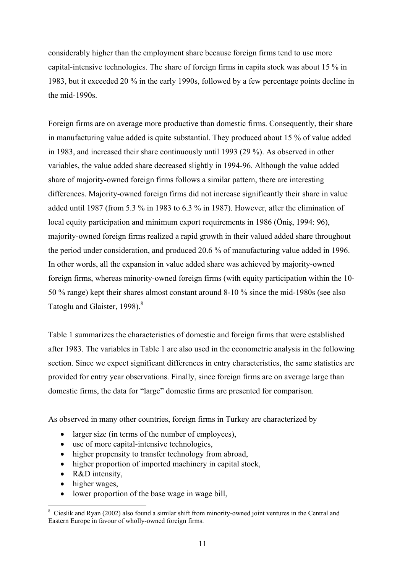considerably higher than the employment share because foreign firms tend to use more capital-intensive technologies. The share of foreign firms in capita stock was about 15 % in 1983, but it exceeded 20 % in the early 1990s, followed by a few percentage points decline in the mid-1990s.

Foreign firms are on average more productive than domestic firms. Consequently, their share in manufacturing value added is quite substantial. They produced about 15 % of value added in 1983, and increased their share continuously until 1993 (29 %). As observed in other variables, the value added share decreased slightly in 1994-96. Although the value added share of majority-owned foreign firms follows a similar pattern, there are interesting differences. Majority-owned foreign firms did not increase significantly their share in value added until 1987 (from 5.3 % in 1983 to 6.3 % in 1987). However, after the elimination of local equity participation and minimum export requirements in 1986 (Öniş, 1994: 96), majority-owned foreign firms realized a rapid growth in their valued added share throughout the period under consideration, and produced 20.6 % of manufacturing value added in 1996. In other words, all the expansion in value added share was achieved by majority-owned foreign firms, whereas minority-owned foreign firms (with equity participation within the 10- 50 % range) kept their shares almost constant around 8-10 % since the mid-1980s (see also Tatoglu and Glaister, 1998).<sup>8</sup>

Table 1 summarizes the characteristics of domestic and foreign firms that were established after 1983. The variables in Table 1 are also used in the econometric analysis in the following section. Since we expect significant differences in entry characteristics, the same statistics are provided for entry year observations. Finally, since foreign firms are on average large than domestic firms, the data for "large" domestic firms are presented for comparison.

As observed in many other countries, foreign firms in Turkey are characterized by

- larger size (in terms of the number of employees),
- use of more capital-intensive technologies,
- higher propensity to transfer technology from abroad,
- higher proportion of imported machinery in capital stock,
- R&D intensity,
- higher wages,

1

• lower proportion of the base wage in wage bill,

<sup>8</sup> Cieslik and Ryan (2002) also found a similar shift from minority-owned joint ventures in the Central and Eastern Europe in favour of wholly-owned foreign firms.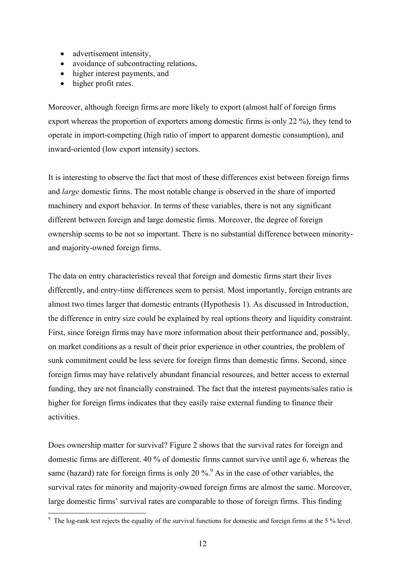- advertisement intensity,
- avoidance of subcontracting relations,
- higher interest payments, and
- higher profit rates.

Moreover, although foreign firms are more likely to export (almost half of foreign firms export whereas the proportion of exporters among domestic firms is only 22 %), they tend to operate in import-competing (high ratio of import to apparent domestic consumption), and inward-oriented (low export intensity) sectors.

It is interesting to observe the fact that most of these differences exist between foreign firms and *large* domestic firms. The most notable change is observed in the share of imported machinery and export behavior. In terms of these variables, there is not any significant different between foreign and large domestic firms. Moreover, the degree of foreign ownership seems to be not so important. There is no substantial difference between minorityand majority-owned foreign firms.

The data on entry characteristics reveal that foreign and domestic firms start their lives differently, and entry-time differences seem to persist. Most importantly, foreign entrants are almost two times larger that domestic entrants (Hypothesis 1). As discussed in Introduction, the difference in entry size could be explained by real options theory and liquidity constraint. First, since foreign firms may have more information about their performance and, possibly, on market conditions as a result of their prior experience in other countries, the problem of sunk commitment could be less severe for foreign firms than domestic firms. Second, since foreign firms may have relatively abundant financial resources, and better access to external funding, they are not financially constrained. The fact that the interest payments/sales ratio is higher for foreign firms indicates that they easily raise external funding to finance their activities.

Does ownership matter for survival? Figure 2 shows that the survival rates for foreign and domestic firms are different. 40 % of domestic firms cannot survive until age 6, whereas the same (hazard) rate for foreign firms is only 20 %.<sup>9</sup> As in the case of other variables, the survival rates for minority and majority-owned foreign firms are almost the same. Moreover, large domestic firms' survival rates are comparable to those of foreign firms. This finding

The log-rank test rejects the equality of the survival functions for domestic and foreign firms at the 5 % level.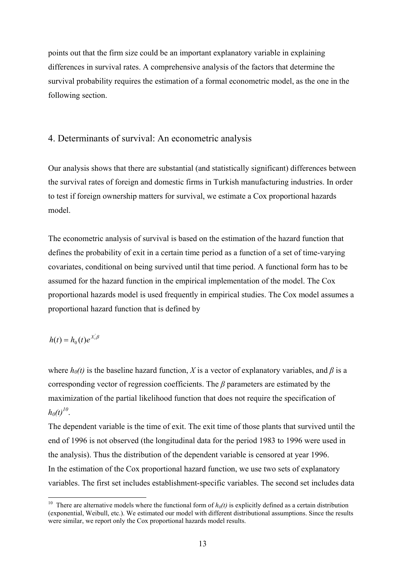points out that the firm size could be an important explanatory variable in explaining differences in survival rates. A comprehensive analysis of the factors that determine the survival probability requires the estimation of a formal econometric model, as the one in the following section.

#### 4. Determinants of survival: An econometric analysis

Our analysis shows that there are substantial (and statistically significant) differences between the survival rates of foreign and domestic firms in Turkish manufacturing industries. In order to test if foreign ownership matters for survival, we estimate a Cox proportional hazards model.

The econometric analysis of survival is based on the estimation of the hazard function that defines the probability of exit in a certain time period as a function of a set of time-varying covariates, conditional on being survived until that time period. A functional form has to be assumed for the hazard function in the empirical implementation of the model. The Cox proportional hazards model is used frequently in empirical studies. The Cox model assumes a proportional hazard function that is defined by

## $h(t) = h_0(t)e^{X_t^t\beta}$

1

where  $h_0(t)$  is the baseline hazard function, *X* is a vector of explanatory variables, and *β* is a corresponding vector of regression coefficients. The *β* parameters are estimated by the maximization of the partial likelihood function that does not require the specification of  $h_0(t)^{10}$ .

The dependent variable is the time of exit. The exit time of those plants that survived until the end of 1996 is not observed (the longitudinal data for the period 1983 to 1996 were used in the analysis). Thus the distribution of the dependent variable is censored at year 1996. In the estimation of the Cox proportional hazard function, we use two sets of explanatory variables. The first set includes establishment-specific variables. The second set includes data

<sup>&</sup>lt;sup>10</sup> There are alternative models where the functional form of  $h_0(t)$  is explicitly defined as a certain distribution (exponential, Weibull, etc.). We estimated our model with different distributional assumptions. Since the results were similar, we report only the Cox proportional hazards model results.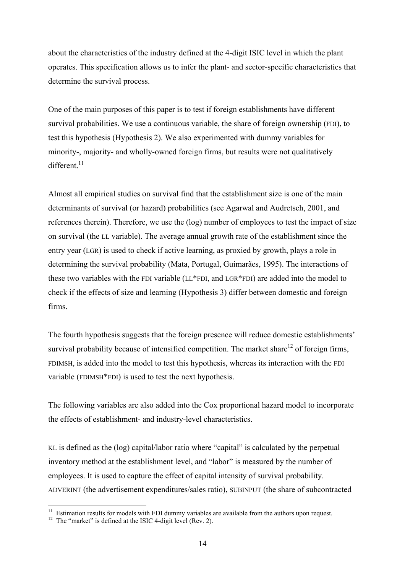about the characteristics of the industry defined at the 4-digit ISIC level in which the plant operates. This specification allows us to infer the plant- and sector-specific characteristics that determine the survival process.

One of the main purposes of this paper is to test if foreign establishments have different survival probabilities. We use a continuous variable, the share of foreign ownership (FDI), to test this hypothesis (Hypothesis 2). We also experimented with dummy variables for minority-, majority- and wholly-owned foreign firms, but results were not qualitatively different $11$ 

Almost all empirical studies on survival find that the establishment size is one of the main determinants of survival (or hazard) probabilities (see Agarwal and Audretsch, 2001, and references therein). Therefore, we use the (log) number of employees to test the impact of size on survival (the LL variable). The average annual growth rate of the establishment since the entry year (LGR) is used to check if active learning, as proxied by growth, plays a role in determining the survival probability (Mata, Portugal, Guimarães, 1995). The interactions of these two variables with the FDI variable (LL\*FDI, and LGR\*FDI) are added into the model to check if the effects of size and learning (Hypothesis 3) differ between domestic and foreign firms.

The fourth hypothesis suggests that the foreign presence will reduce domestic establishments' survival probability because of intensified competition. The market share<sup>12</sup> of foreign firms. FDIMSH, is added into the model to test this hypothesis, whereas its interaction with the FDI variable (FDIMSH\*FDI) is used to test the next hypothesis.

The following variables are also added into the Cox proportional hazard model to incorporate the effects of establishment- and industry-level characteristics.

KL is defined as the (log) capital/labor ratio where "capital" is calculated by the perpetual inventory method at the establishment level, and "labor" is measured by the number of employees. It is used to capture the effect of capital intensity of survival probability. ADVERINT (the advertisement expenditures/sales ratio), SUBINPUT (the share of subcontracted

<sup>&</sup>lt;sup>11</sup> Estimation results for models with FDI dummy variables are available from the authors upon request.<br><sup>12</sup> The "market" is defined at the ISIC 4-digit level (Rev. 2).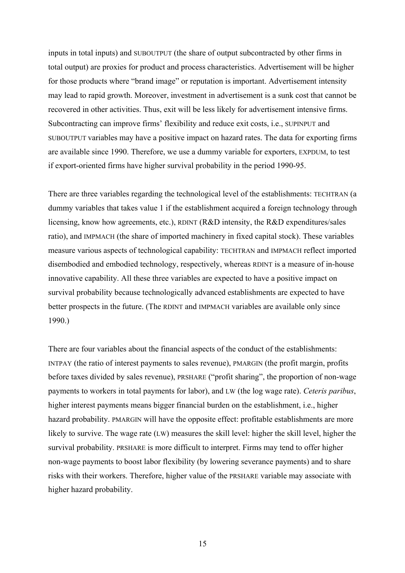inputs in total inputs) and SUBOUTPUT (the share of output subcontracted by other firms in total output) are proxies for product and process characteristics. Advertisement will be higher for those products where "brand image" or reputation is important. Advertisement intensity may lead to rapid growth. Moreover, investment in advertisement is a sunk cost that cannot be recovered in other activities. Thus, exit will be less likely for advertisement intensive firms. Subcontracting can improve firms' flexibility and reduce exit costs, i.e., SUPINPUT and SUBOUTPUT variables may have a positive impact on hazard rates. The data for exporting firms are available since 1990. Therefore, we use a dummy variable for exporters, EXPDUM, to test if export-oriented firms have higher survival probability in the period 1990-95.

There are three variables regarding the technological level of the establishments: TECHTRAN (a dummy variables that takes value 1 if the establishment acquired a foreign technology through licensing, know how agreements, etc.), RDINT (R&D intensity, the R&D expenditures/sales ratio), and IMPMACH (the share of imported machinery in fixed capital stock). These variables measure various aspects of technological capability: TECHTRAN and IMPMACH reflect imported disembodied and embodied technology, respectively, whereas RDINT is a measure of in-house innovative capability. All these three variables are expected to have a positive impact on survival probability because technologically advanced establishments are expected to have better prospects in the future. (The RDINT and IMPMACH variables are available only since 1990.)

There are four variables about the financial aspects of the conduct of the establishments: INTPAY (the ratio of interest payments to sales revenue), PMARGIN (the profit margin, profits before taxes divided by sales revenue), PRSHARE ("profit sharing", the proportion of non-wage payments to workers in total payments for labor), and LW (the log wage rate). *Ceteris paribus*, higher interest payments means bigger financial burden on the establishment, i.e., higher hazard probability. PMARGIN will have the opposite effect: profitable establishments are more likely to survive. The wage rate (LW) measures the skill level: higher the skill level, higher the survival probability. PRSHARE is more difficult to interpret. Firms may tend to offer higher non-wage payments to boost labor flexibility (by lowering severance payments) and to share risks with their workers. Therefore, higher value of the PRSHARE variable may associate with higher hazard probability.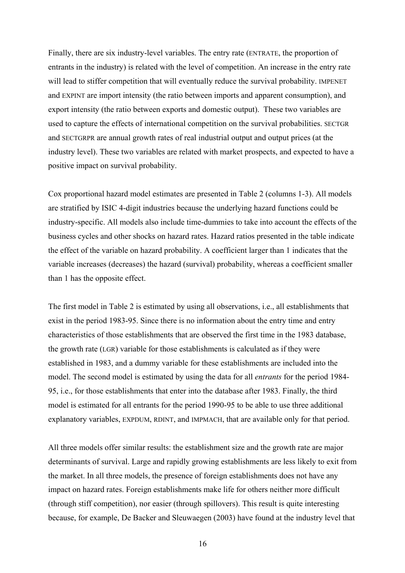Finally, there are six industry-level variables. The entry rate (ENTRATE, the proportion of entrants in the industry) is related with the level of competition. An increase in the entry rate will lead to stiffer competition that will eventually reduce the survival probability. IMPENET and EXPINT are import intensity (the ratio between imports and apparent consumption), and export intensity (the ratio between exports and domestic output). These two variables are used to capture the effects of international competition on the survival probabilities. SECTGR and SECTGRPR are annual growth rates of real industrial output and output prices (at the industry level). These two variables are related with market prospects, and expected to have a positive impact on survival probability.

Cox proportional hazard model estimates are presented in Table 2 (columns 1-3). All models are stratified by ISIC 4-digit industries because the underlying hazard functions could be industry-specific. All models also include time-dummies to take into account the effects of the business cycles and other shocks on hazard rates. Hazard ratios presented in the table indicate the effect of the variable on hazard probability. A coefficient larger than 1 indicates that the variable increases (decreases) the hazard (survival) probability, whereas a coefficient smaller than 1 has the opposite effect.

The first model in Table 2 is estimated by using all observations, i.e., all establishments that exist in the period 1983-95. Since there is no information about the entry time and entry characteristics of those establishments that are observed the first time in the 1983 database, the growth rate (LGR) variable for those establishments is calculated as if they were established in 1983, and a dummy variable for these establishments are included into the model. The second model is estimated by using the data for all *entrants* for the period 1984- 95, i.e., for those establishments that enter into the database after 1983. Finally, the third model is estimated for all entrants for the period 1990-95 to be able to use three additional explanatory variables, EXPDUM, RDINT, and IMPMACH, that are available only for that period.

All three models offer similar results: the establishment size and the growth rate are major determinants of survival. Large and rapidly growing establishments are less likely to exit from the market. In all three models, the presence of foreign establishments does not have any impact on hazard rates. Foreign establishments make life for others neither more difficult (through stiff competition), nor easier (through spillovers). This result is quite interesting because, for example, De Backer and Sleuwaegen (2003) have found at the industry level that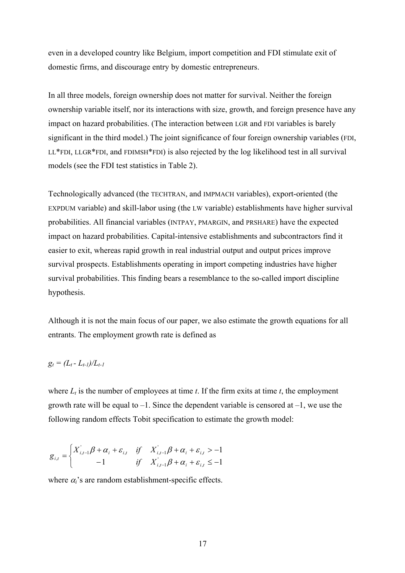even in a developed country like Belgium, import competition and FDI stimulate exit of domestic firms, and discourage entry by domestic entrepreneurs.

In all three models, foreign ownership does not matter for survival. Neither the foreign ownership variable itself, nor its interactions with size, growth, and foreign presence have any impact on hazard probabilities. (The interaction between LGR and FDI variables is barely significant in the third model.) The joint significance of four foreign ownership variables (FDI, LL\*FDI, LLGR\*FDI, and FDIMSH\*FDI) is also rejected by the log likelihood test in all survival models (see the FDI test statistics in Table 2).

Technologically advanced (the TECHTRAN, and IMPMACH variables), export-oriented (the EXPDUM variable) and skill-labor using (the LW variable) establishments have higher survival probabilities. All financial variables (INTPAY, PMARGIN, and PRSHARE) have the expected impact on hazard probabilities. Capital-intensive establishments and subcontractors find it easier to exit, whereas rapid growth in real industrial output and output prices improve survival prospects. Establishments operating in import competing industries have higher survival probabilities. This finding bears a resemblance to the so-called import discipline hypothesis.

Although it is not the main focus of our paper, we also estimate the growth equations for all entrants. The employment growth rate is defined as

$$
g_t = (L_t - L_{t-1})/L_{t-1}
$$

where  $L_t$  is the number of employees at time *t*. If the firm exits at time *t*, the employment growth rate will be equal to  $-1$ . Since the dependent variable is censored at  $-1$ , we use the following random effects Tobit specification to estimate the growth model:

$$
g_{i,t} = \begin{cases} X'_{i,t-1}\beta + \alpha_i + \varepsilon_{i,t} & \text{if } X'_{i,t-1}\beta + \alpha_i + \varepsilon_{i,t} > -1 \\ -1 & \text{if } X'_{i,t-1}\beta + \alpha_i + \varepsilon_{i,t} \leq -1 \end{cases}
$$

where  $\alpha_i$ 's are random establishment-specific effects.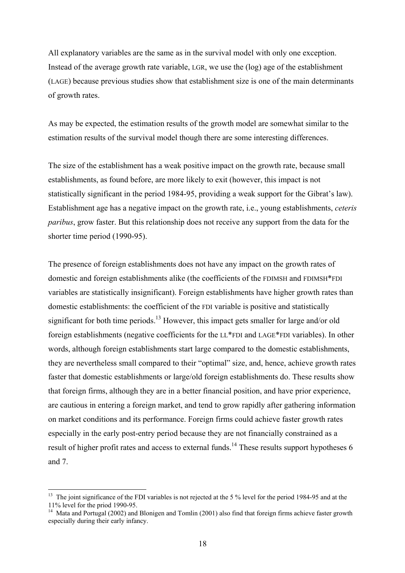All explanatory variables are the same as in the survival model with only one exception. Instead of the average growth rate variable, LGR, we use the (log) age of the establishment (LAGE) because previous studies show that establishment size is one of the main determinants of growth rates.

As may be expected, the estimation results of the growth model are somewhat similar to the estimation results of the survival model though there are some interesting differences.

The size of the establishment has a weak positive impact on the growth rate, because small establishments, as found before, are more likely to exit (however, this impact is not statistically significant in the period 1984-95, providing a weak support for the Gibrat's law). Establishment age has a negative impact on the growth rate, i.e., young establishments, *ceteris paribus*, grow faster. But this relationship does not receive any support from the data for the shorter time period (1990-95).

The presence of foreign establishments does not have any impact on the growth rates of domestic and foreign establishments alike (the coefficients of the FDIMSH and FDIMSH\*FDI variables are statistically insignificant). Foreign establishments have higher growth rates than domestic establishments: the coefficient of the FDI variable is positive and statistically significant for both time periods.<sup>13</sup> However, this impact gets smaller for large and/or old foreign establishments (negative coefficients for the LL\*FDI and LAGE\*FDI variables). In other words, although foreign establishments start large compared to the domestic establishments, they are nevertheless small compared to their "optimal" size, and, hence, achieve growth rates faster that domestic establishments or large/old foreign establishments do. These results show that foreign firms, although they are in a better financial position, and have prior experience, are cautious in entering a foreign market, and tend to grow rapidly after gathering information on market conditions and its performance. Foreign firms could achieve faster growth rates especially in the early post-entry period because they are not financially constrained as a result of higher profit rates and access to external funds.<sup>14</sup> These results support hypotheses 6 and 7.

<sup>&</sup>lt;sup>13</sup> The joint significance of the FDI variables is not rejected at the 5 % level for the period 1984-95 and at the 11% level for the priod 1990-95.

<sup>&</sup>lt;sup>14</sup> Mata and Portugal (2002) and Blonigen and Tomlin (2001) also find that foreign firms achieve faster growth especially during their early infancy.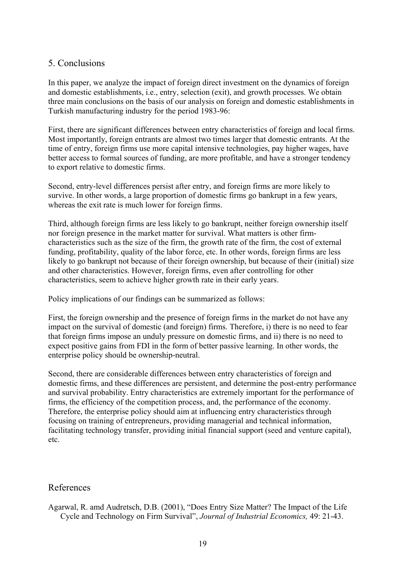### 5. Conclusions

In this paper, we analyze the impact of foreign direct investment on the dynamics of foreign and domestic establishments, i.e., entry, selection (exit), and growth processes. We obtain three main conclusions on the basis of our analysis on foreign and domestic establishments in Turkish manufacturing industry for the period 1983-96:

First, there are significant differences between entry characteristics of foreign and local firms. Most importantly, foreign entrants are almost two times larger that domestic entrants. At the time of entry, foreign firms use more capital intensive technologies, pay higher wages, have better access to formal sources of funding, are more profitable, and have a stronger tendency to export relative to domestic firms.

Second, entry-level differences persist after entry, and foreign firms are more likely to survive. In other words, a large proportion of domestic firms go bankrupt in a few years, whereas the exit rate is much lower for foreign firms.

Third, although foreign firms are less likely to go bankrupt, neither foreign ownership itself nor foreign presence in the market matter for survival. What matters is other firmcharacteristics such as the size of the firm, the growth rate of the firm, the cost of external funding, profitability, quality of the labor force, etc. In other words, foreign firms are less likely to go bankrupt not because of their foreign ownership, but because of their (initial) size and other characteristics. However, foreign firms, even after controlling for other characteristics, seem to achieve higher growth rate in their early years.

Policy implications of our findings can be summarized as follows:

First, the foreign ownership and the presence of foreign firms in the market do not have any impact on the survival of domestic (and foreign) firms. Therefore, i) there is no need to fear that foreign firms impose an unduly pressure on domestic firms, and ii) there is no need to expect positive gains from FDI in the form of better passive learning. In other words, the enterprise policy should be ownership-neutral.

Second, there are considerable differences between entry characteristics of foreign and domestic firms, and these differences are persistent, and determine the post-entry performance and survival probability. Entry characteristics are extremely important for the performance of firms, the efficiency of the competition process, and, the performance of the economy. Therefore, the enterprise policy should aim at influencing entry characteristics through focusing on training of entrepreneurs, providing managerial and technical information, facilitating technology transfer, providing initial financial support (seed and venture capital), etc.

#### References

Agarwal, R. amd Audretsch, D.B. (2001), "Does Entry Size Matter? The Impact of the Life Cycle and Technology on Firm Survival", *Journal of Industrial Economics,* 49: 21-43.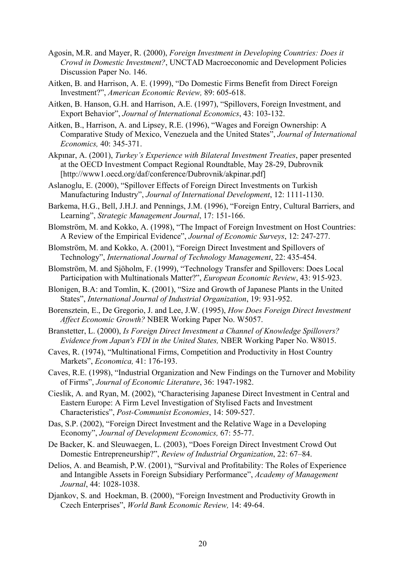- Agosin, M.R. and Mayer, R. (2000), *Foreign Investment in Developing Countries: Does it Crowd in Domestic Investment?*, UNCTAD Macroeconomic and Development Policies Discussion Paper No. 146.
- Aitken, B. and Harrison, A. E. (1999), "Do Domestic Firms Benefit from Direct Foreign Investment?", *American Economic Review,* 89: 605-618.
- Aitken, B. Hanson, G.H. and Harrison, A.E. (1997), "Spillovers, Foreign Investment, and Export Behavior", *Journal of International Economics*, 43: 103-132.
- Aitken, B., Harrison, A. and Lipsey, R.E. (1996), "Wages and Foreign Ownership: A Comparative Study of Mexico, Venezuela and the United States", *Journal of International Economics,* 40: 345-371.
- Akpınar, A. (2001), *Turkey's Experience with Bilateral Investment Treaties*, paper presented at the OECD Investment Compact Regional Roundtable, May 28-29, Dubrovnik [http://www1.oecd.org/daf/conference/Dubrovnik/akpinar.pdf]
- Aslanoglu, E. (2000), "Spillover Effects of Foreign Direct Investments on Turkish Manufacturing Industry", *Journal of International Development*, 12: 1111-1130.
- Barkema, H.G., Bell, J.H.J. and Pennings, J.M. (1996), "Foreign Entry, Cultural Barriers, and Learning", *Strategic Management Journal*, 17: 151-166.
- Blomström, M. and Kokko, A. (1998), "The Impact of Foreign Investment on Host Countries: A Review of the Empirical Evidence", *Journal of Economic Surveys*, 12: 247-277.
- Blomström, M. and Kokko, A. (2001), "Foreign Direct Investment and Spillovers of Technology", *International Journal of Technology Management*, 22: 435-454.
- Blomström, M. and Sjöholm, F. (1999), "Technology Transfer and Spillovers: Does Local Participation with Multinationals Matter?", *European Economic Review*, 43: 915-923.
- Blonigen, B.A: and Tomlin, K. (2001), "Size and Growth of Japanese Plants in the United States", *International Journal of Industrial Organization*, 19: 931-952.
- Borensztein, E., De Gregorio, J. and Lee, J.W. (1995), *How Does Foreign Direct Investment Affect Economic Growth?* NBER Working Paper No. W5057.
- Branstetter, L. (2000), *Is Foreign Direct Investment a Channel of Knowledge Spillovers? Evidence from Japan's FDI in the United States,* NBER Working Paper No. W8015.
- Caves, R. (1974), "Multinational Firms, Competition and Productivity in Host Country Markets", *Economica,* 41: 176-193.
- Caves, R.E. (1998), "Industrial Organization and New Findings on the Turnover and Mobility of Firms", *Journal of Economic Literature*, 36: 1947-1982.
- Cieslik, A. and Ryan, M. (2002), "Characterising Japanese Direct Investment in Central and Eastern Europe: A Firm Level Investigation of Stylised Facts and Investment Characteristics", *Post-Communist Economies*, 14: 509-527.
- Das, S.P. (2002), "Foreign Direct Investment and the Relative Wage in a Developing Economy", *Journal of Development Economics,* 67: 55-77.
- De Backer, K. and Sleuwaegen, L. (2003), "Does Foreign Direct Investment Crowd Out Domestic Entrepreneurship?", *Review of Industrial Organization*, 22: 67–84.
- Delios, A. and Beamish, P.W. (2001), "Survival and Profitability: The Roles of Experience and Intangible Assets in Foreign Subsidiary Performance", *Academy of Management Journal*, 44: 1028-1038.
- Djankov, S. and Hoekman, B. (2000), "Foreign Investment and Productivity Growth in Czech Enterprises", *World Bank Economic Review,* 14: 49-64.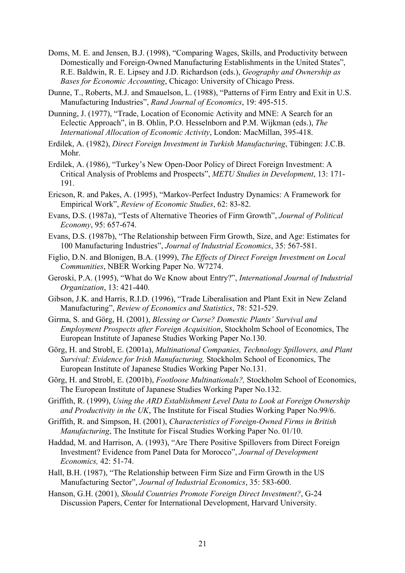- Doms, M. E. and Jensen, B.J. (1998), "Comparing Wages, Skills, and Productivity between Domestically and Foreign-Owned Manufacturing Establishments in the United States", R.E. Baldwin, R. E. Lipsey and J.D. Richardson (eds.), *Geography and Ownership as Bases for Economic Accounting*, Chicago: University of Chicago Press.
- Dunne, T., Roberts, M.J. and Smauelson, L. (1988), "Patterns of Firm Entry and Exit in U.S. Manufacturing Industries", *Rand Journal of Economics*, 19: 495-515.
- Dunning, J. (1977), "Trade, Location of Economic Activity and MNE: A Search for an Eclectic Approach", in B. Ohlin, P.O. Hesselnborn and P.M. Wijkman (eds.), *The International Allocation of Economic Activity*, London: MacMillan, 395-418.
- Erdilek, A. (1982), *Direct Foreign Investment in Turkish Manufacturing*, Tübingen: J.C.B. Mohr.
- Erdilek, A. (1986), "Turkey's New Open-Door Policy of Direct Foreign Investment: A Critical Analysis of Problems and Prospects", *METU Studies in Development*, 13: 171- 191.
- Ericson, R. and Pakes, A. (1995), "Markov-Perfect Industry Dynamics: A Framework for Empirical Work", *Review of Economic Studies*, 62: 83-82.
- Evans, D.S. (1987a), "Tests of Alternative Theories of Firm Growth", *Journal of Political Economy*, 95: 657-674.
- Evans, D.S. (1987b), "The Relationship between Firm Growth, Size, and Age: Estimates for 100 Manufacturing Industries", *Journal of Industrial Economics*, 35: 567-581.
- Figlio, D.N. and Blonigen, B.A. (1999), *The Effects of Direct Foreign Investment on Local Communities*, NBER Working Paper No. W7274.
- Geroski, P.A. (1995), "What do We Know about Entry?", *International Journal of Industrial Organization*, 13: 421-440.
- Gibson, J.K. and Harris, R.I.D. (1996), "Trade Liberalisation and Plant Exit in New Zeland Manufacturing", *Review of Economics and Statistics*, 78: 521-529.
- Girma, S. and Görg, H. (2001), *Blessing or Curse? Domestic Plants' Survival and Employment Prospects after Foreign Acquisition*, Stockholm School of Economics, The European Institute of Japanese Studies Working Paper No.130.
- Görg, H. and Strobl, E. (2001a), *Multinational Companies, Technology Spillovers, and Plant Survival: Evidence for Irish Manufacturing,* Stockholm School of Economics, The European Institute of Japanese Studies Working Paper No.131.
- Görg, H. and Strobl, E. (2001b), *Footloose Multinationals?,* Stockholm School of Economics, The European Institute of Japanese Studies Working Paper No.132.
- Griffith, R. (1999), *Using the ARD Establishment Level Data to Look at Foreign Ownership and Productivity in the UK*, The Institute for Fiscal Studies Working Paper No.99/6.
- Griffith, R. and Simpson, H. (2001), *Characteristics of Foreign-Owned Firms in British Manufacturing*, The Institute for Fiscal Studies Working Paper No. 01/10.
- Haddad, M. and Harrison, A. (1993), "Are There Positive Spillovers from Direct Foreign Investment? Evidence from Panel Data for Morocco", *Journal of Development Economics,* 42: 51-74.
- Hall, B.H. (1987), "The Relationship between Firm Size and Firm Growth in the US Manufacturing Sector", *Journal of Industrial Economics*, 35: 583-600.
- Hanson, G.H. (2001), *Should Countries Promote Foreign Direct Investment?*, G-24 Discussion Papers, Center for International Development, Harvard University.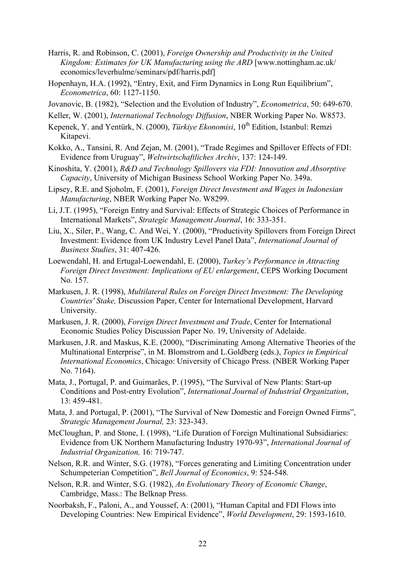- Harris, R. and Robinson, C. (2001), *Foreign Ownership and Productivity in the United Kingdom: Estimates for UK Manufacturing using the ARD* [www.nottingham.ac.uk/ economics/leverhulme/seminars/pdf/harris.pdf]
- Hopenhayn, H.A. (1992), "Entry, Exit, and Firm Dynamics in Long Run Equilibrium", *Econometrica*, 60: 1127-1150.
- Jovanovic, B. (1982), "Selection and the Evolution of Industry", *Econometrica*, 50: 649-670.
- Keller, W. (2001), *International Technology Diffusion*, NBER Working Paper No. W8573.
- Kepenek, Y. and Yentürk, N. (2000), *Türkiye Ekonomisi*, 10<sup>th</sup> Edition, Istanbul: Remzi Kitapevi.
- Kokko, A., Tansini, R. And Zejan, M. (2001), "Trade Regimes and Spillover Effects of FDI: Evidence from Uruguay", *Weltwirtschaftliches Archiv*, 137: 124-149.
- Kinoshita, Y. (2001), *R&D and Technology Spillovers via FDI: Innovation and Absorptive Capacity*, University of Michigan Business School Working Paper No. 349a.
- Lipsey, R.E. and Sjoholm, F. (2001), *Foreign Direct Investment and Wages in Indonesian Manufacturing*, NBER Working Paper No. W8299.
- Li, J.T. (1995), "Foreign Entry and Survival: Effects of Strategic Choices of Performance in International Markets", *Strategic Management Journal*, 16: 333-351.
- Liu, X., Siler, P., Wang, C. And Wei, Y. (2000), "Productivity Spillovers from Foreign Direct Investment: Evidence from UK Industry Level Panel Data", *International Journal of Business Studies*, 31: 407-426.
- Loewendahl, H. and Ertugal-Loewendahl, E. (2000), *Turkey's Performance in Attracting Foreign Direct Investment: Implications of EU enlargement*, CEPS Working Document No. 157.
- Markusen, J. R. (1998), *Multilateral Rules on Foreign Direct Investment: The Developing Countries' Stake,* Discussion Paper, Center for International Development, Harvard University.
- Markusen, J. R. (2000), *Foreign Direct Investment and Trade*, Center for International Economic Studies Policy Discussion Paper No. 19, University of Adelaide.
- Markusen, J.R. and Maskus, K.E. (2000), "Discriminating Among Alternative Theories of the Multinational Enterprise", in M. Blomstrom and L.Goldberg (eds.), *Topics in Empirical International Economics*, Chicago: University of Chicago Press. (NBER Working Paper No. 7164).
- Mata, J., Portugal, P. and Guimarães, P. (1995), "The Survival of New Plants: Start-up Conditions and Post-entry Evolution", *International Journal of Industrial Organization*, 13: 459-481.
- Mata, J. and Portugal, P. (2001), "The Survival of New Domestic and Foreign Owned Firms", *Strategic Management Journal,* 23: 323-343.
- McCloughan, P. and Stone, I. (1998), "Life Duration of Foreign Multinational Subsidiaries: Evidence from UK Northern Manufacturing Industry 1970-93", *International Journal of Industrial Organization,* 16: 719-747.
- Nelson, R.R. and Winter, S.G. (1978), "Forces generating and Limiting Concentration under Schumpeterian Competition", *Bell Journal of Economics*, 9: 524-548.
- Nelson, R.R. and Winter, S.G. (1982), *An Evolutionary Theory of Economic Change*, Cambridge, Mass.: The Belknap Press.
- Noorbaksh, F., Paloni, A., and Youssef, A: (2001), "Human Capital and FDI Flows into Developing Countries: New Empirical Evidence", *World Development*, 29: 1593-1610.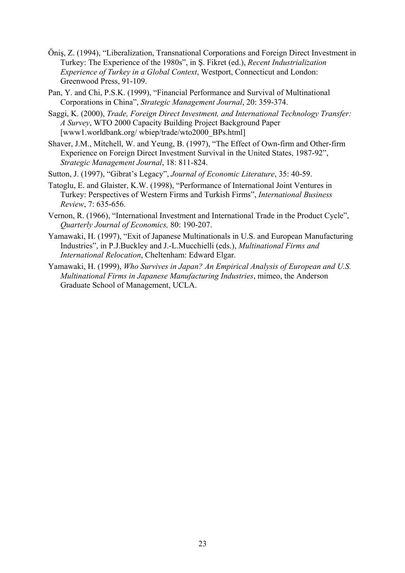- Öniş, Z. (1994), "Liberalization, Transnational Corporations and Foreign Direct Investment in Turkey: The Experience of the 1980s", in Ş. Fikret (ed.), *Recent Industrialization Experience of Turkey in a Global Context*, Westport, Connecticut and London: Greenwood Press, 91-109.
- Pan, Y. and Chi, P.S.K. (1999), "Financial Performance and Survival of Multinational Corporations in China", *Strategic Management Journal*, 20: 359-374.
- Saggi, K. (2000), *Trade, Foreign Direct Investment, and International Technology Transfer: A Survey*, WTO 2000 Capacity Building Project Background Paper [www1.worldbank.org/ wbiep/trade/wto2000\_BPs.html]
- Shaver, J.M., Mitchell, W. and Yeung, B. (1997), "The Effect of Own-firm and Other-firm Experience on Foreign Direct Investment Survival in the United States, 1987-92", *Strategic Management Journal*, 18: 811-824.
- Sutton, J. (1997), "Gibrat's Legacy", *Journal of Economic Literature*, 35: 40-59.
- Tatoglu, E. and Glaister, K.W. (1998), "Performance of International Joint Ventures in Turkey: Perspectives of Western Firms and Turkish Firms", *International Business Review*, 7: 635-656.
- Vernon, R. (1966), "International Investment and International Trade in the Product Cycle", *Quarterly Journal of Economics,* 80: 190-207.
- Yamawaki, H. (1997), "Exit of Japanese Multinationals in U.S. and European Manufacturing Industries", in P.J.Buckley and J.-L.Mucchielli (eds.), *Multinational Firms and International Relocation*, Cheltenham: Edward Elgar.
- Yamawaki, H. (1999), *Who Survives in Japan? An Empirical Analysis of European and U.S. Multinational Firms in Japanese Manufacturing Industries*, mimeo, the Anderson Graduate School of Management, UCLA.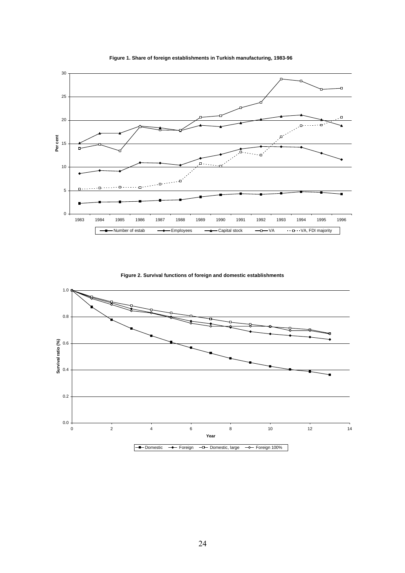

**Figure 1. Share of foreign establishments in Turkish manufacturing, 1983-96**

**Figure 2. Survival functions of foreign and domestic establishments**

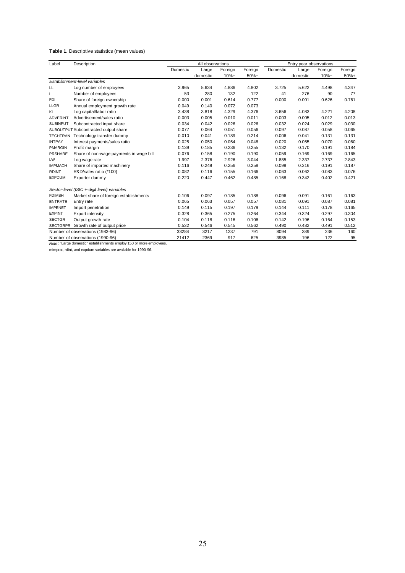#### **Table 1.** Descriptive statistics (mean values)

| Label                                | Description                                                         |          | All observations |         |         | Entry year observations |          |         |         |
|--------------------------------------|---------------------------------------------------------------------|----------|------------------|---------|---------|-------------------------|----------|---------|---------|
|                                      |                                                                     | Domestic | Large            | Foreign | Foreign | Domestic                | Large    | Foreign | Foreign |
|                                      |                                                                     |          | domestic         | $10% +$ | $50%+$  |                         | domestic | $10% +$ | $50%+$  |
| Establishment-level variables        |                                                                     |          |                  |         |         |                         |          |         |         |
| LL                                   | Log number of employees                                             | 3.965    | 5.634            | 4.886   | 4.802   | 3.725                   | 5.622    | 4.498   | 4.347   |
| Г                                    | Number of employees                                                 | 53       | 280              | 132     | 122     | 41                      | 276      | 90      | 77      |
| <b>FDI</b>                           | Share of foreign ownership                                          | 0.000    | 0.001            | 0.614   | 0.777   | 0.000                   | 0.001    | 0.626   | 0.761   |
| <b>LLGR</b>                          | Annual employment growth rate                                       | 0.049    | 0.140            | 0.072   | 0.073   |                         |          |         |         |
| <b>KL</b>                            | Log capital/labor ratio                                             | 3.438    | 3.818            | 4.329   | 4.376   | 3.656                   | 4.083    | 4.221   | 4.208   |
| <b>ADVERINT</b>                      | Advertisement/sales ratio                                           | 0.003    | 0.005            | 0.010   | 0.011   | 0.003                   | 0.005    | 0.012   | 0.013   |
| <b>SUBINPUT</b>                      | Subcontracted input share                                           | 0.034    | 0.042            | 0.026   | 0.026   | 0.032                   | 0.024    | 0.029   | 0.030   |
| SUBOUTPUT Subcontracted output share |                                                                     | 0.077    | 0.064            | 0.051   | 0.056   | 0.097                   | 0.087    | 0.058   | 0.065   |
|                                      | TECHTRAN Technology transfer dummy                                  | 0.010    | 0.041            | 0.189   | 0.214   | 0.006                   | 0.041    | 0.131   | 0.131   |
| <b>INTPAY</b>                        | Interest payments/sales ratio                                       | 0.025    | 0.050            | 0.054   | 0.048   | 0.020                   | 0.055    | 0.070   | 0.060   |
| <b>PMARGIN</b>                       | Profit margin                                                       | 0.139    | 0.185            | 0.236   | 0.255   | 0.132                   | 0.170    | 0.191   | 0.184   |
| <b>PRSHARE</b>                       | Share of non-wage payments in wage bill                             | 0.076    | 0.158            | 0.190   | 0.190   | 0.059                   | 0.169    | 0.169   | 0.165   |
| LW                                   | Log wage rate                                                       | 1.997    | 2.376            | 2.926   | 3.044   | 1.885                   | 2.337    | 2.737   | 2.843   |
| <b>IMPMACH</b>                       | Share of imported machinery                                         | 0.116    | 0.249            | 0.256   | 0.258   | 0.098                   | 0.216    | 0.191   | 0.187   |
| <b>RDINT</b>                         | R&D/sales ratio (*100)                                              | 0.082    | 0.116            | 0.155   | 0.166   | 0.063                   | 0.062    | 0.083   | 0.076   |
| <b>EXPDUM</b>                        | Exporter dummy                                                      | 0.220    | 0.447            | 0.462   | 0.485   | 0.168                   | 0.342    | 0.402   | 0.421   |
|                                      | Sector-level (ISIC +-digit level) variables                         |          |                  |         |         |                         |          |         |         |
| <b>FDIMSH</b>                        | Market share of foreign establishments                              | 0.106    | 0.097            | 0.185   | 0.188   | 0.096                   | 0.091    | 0.161   | 0.163   |
| <b>ENTRATE</b>                       | Entry rate                                                          | 0.065    | 0.063            | 0.057   | 0.057   | 0.081                   | 0.091    | 0.087   | 0.081   |
| <b>IMPENET</b>                       | Import penetration                                                  | 0.149    | 0.115            | 0.197   | 0.179   | 0.144                   | 0.111    | 0.178   | 0.165   |
| <b>EXPINT</b>                        | <b>Export intensity</b>                                             | 0.328    | 0.365            | 0.275   | 0.264   | 0.344                   | 0.324    | 0.297   | 0.304   |
| <b>SECTGR</b>                        | Output growth rate                                                  | 0.104    | 0.118            | 0.116   | 0.106   | 0.142                   | 0.196    | 0.164   | 0.153   |
|                                      | SECTGRPR Growth rate of output price                                | 0.532    | 0.546            | 0.545   | 0.562   | 0.490                   | 0.482    | 0.491   | 0.512   |
| Number of observations (1983-96)     |                                                                     | 33284    | 3217             | 1237    | 791     | 8094                    | 389      | 236     | 160     |
| Number of observations (1990-96)     |                                                                     | 21412    | 2369             | 917     | 625     | 3985                    | 196      | 122     | 95      |
|                                      | Note: "Large domestic" establishments employ 150 or more employees. |          |                  |         |         |                         |          |         |         |

mimprat, rdint, and expdum variables are available for 1990-96.